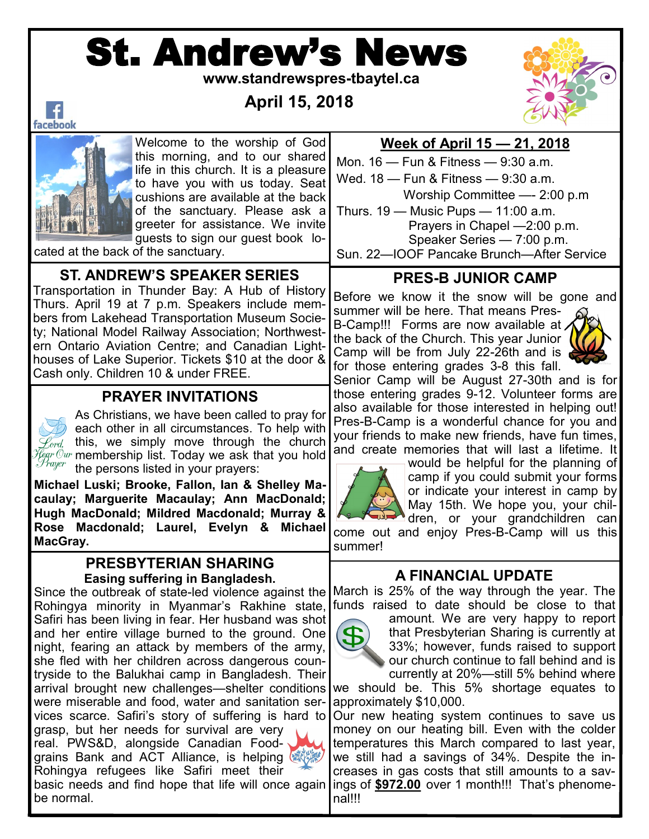# St. Andrew's News

 **www.standrewspres-tbaytel.ca**

 **April 15, 2018**



 $\vert f \vert$ facebook



Welcome to the worship of God this morning, and to our shared life in this church. It is a pleasure to have you with us today. Seat cushions are available at the back of the sanctuary. Please ask a greeter for assistance. We invite guests to sign our guest book lo-

cated at the back of the sanctuary.

#### **ST. ANDREW'S SPEAKER SERIES**

Transportation in Thunder Bay: A Hub of History Thurs. April 19 at 7 p.m. Speakers include members from Lakehead Transportation Museum Society; National Model Railway Association; Northwestern Ontario Aviation Centre; and Canadian Lighthouses of Lake Superior. Tickets \$10 at the door & Cash only. Children 10 & under FREE.

#### **PRAYER INVITATIONS**

As Christians, we have been called to pray for each other in all circumstances. To help with  $\mathscr{L}_{\mathit{ord}}$  this, we simply move through the church *Hear Our* membership list. Today we ask that you hold the persons listed in your prayers:

**Michael Luski; Brooke, Fallon, Ian & Shelley Macaulay; Marguerite Macaulay; Ann MacDonald; Hugh MacDonald; Mildred Macdonald; Murray & Rose Macdonald; Laurel, Evelyn & Michael MacGray.**

#### **PRESBYTERIAN SHARING Easing suffering in Bangladesh.**

Since the outbreak of state-led violence against the Rohingya minority in Myanmar's Rakhine state, Safiri has been living in fear. Her husband was shot and her entire village burned to the ground. One night, fearing an attack by members of the army, she fled with her children across dangerous countryside to the Balukhai camp in Bangladesh. Their arrival brought new challenges—shelter conditions were miserable and food, water and sanitation services scarce. Safiri's story of suffering is hard to grasp, but her needs for survival are very real. PWS&D, alongside Canadian Foodgrains Bank and ACT Alliance, is helping Rohingya refugees like Safiri meet their basic needs and find hope that life will once again be normal.

#### **Week of April 15 — 21, 2018**

Mon. 16 — Fun & Fitness — 9:30 a.m. Wed. 18 — Fun & Fitness — 9:30 a.m. Worship Committee —- 2:00 p.m Thurs. 19 — Music Pups — 11:00 a.m. Prayers in Chapel —2:00 p.m. Speaker Series — 7:00 p.m.

Sun. 22—IOOF Pancake Brunch—After Service

## **PRES-B JUNIOR CAMP**

Before we know it the snow will be gone and

summer will be here. That means Pres-B-Camp!!! Forms are now available at, the back of the Church. This year Junior Camp will be from July 22-26th and is for those entering grades 3-8 this fall.



Senior Camp will be August 27-30th and is for those entering grades 9-12. Volunteer forms are also available for those interested in helping out! Pres-B-Camp is a wonderful chance for you and your friends to make new friends, have fun times, and create memories that will last a lifetime. It



would be helpful for the planning of camp if you could submit your forms or indicate your interest in camp by May 15th. We hope you, your children, or your grandchildren can

come out and enjoy Pres-B-Camp will us this summer!

#### **A FINANCIAL UPDATE**

March is 25% of the way through the year. The funds raised to date should be close to that



amount. We are very happy to report that Presbyterian Sharing is currently at 33%; however, funds raised to support our church continue to fall behind and is currently at 20%—still 5% behind where

we should be. This 5% shortage equates to approximately \$10,000.

Our new heating system continues to save us money on our heating bill. Even with the colder temperatures this March compared to last year, we still had a savings of 34%. Despite the increases in gas costs that still amounts to a savings of **\$972.00** over 1 month!!! That's phenomenal!!!